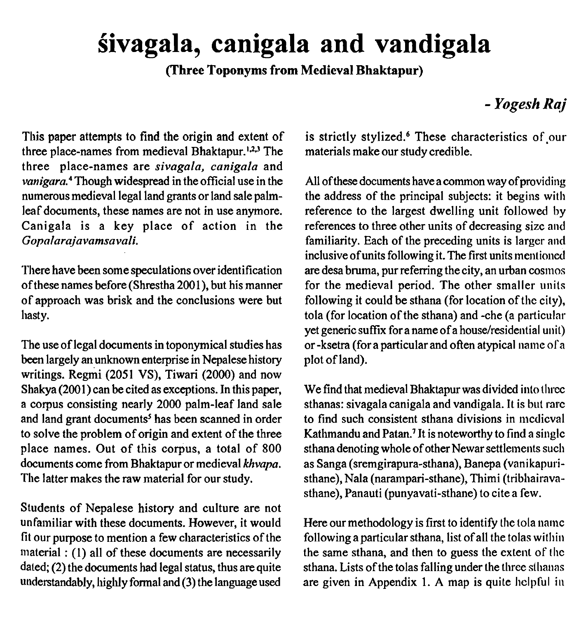# **givagala, canigala and vandigala**

**(Three Toponyms from Medieval Bhaktapur)** 

# - *Yogesh Raj*

This paper attempts to find the origin and extent of three place-names from medieval Bhaktapur.<sup>1,2,3</sup> The three place-names are *sivagala, canigala* and *~anigara.~* Though widespread in the official use in the numerous medieval legal land grants or land sale palmleaf documents, these names are not in use anymore. Canigala is a key place of action in the *Gopnlarajavamsavali.* 

'I'here have been some speculations over identification of these names before (Shrestha 2001), but his manner of approach was brisk and the conclusions were but hasty.

The use of legal documents in toponymical studies has been largely an unknown enterprise in Nepalese history writings. Regmi (2051 VS), Tiwari (2000) and now Shakya (2001) can be cited as exceptions. In this paper, a corpus consisting nearly 2000 palm-leaf land sale and land grant documents<sup>5</sup> has been scanned in order to solve the problem of origin and extent of the three place names. Out of this corpus, a total of 800 documents come from Bhaktapur or medieval *khvapa.*  The latter makes the raw material for our study.

Students of Nepalese history and culture are not unfamiliar with these documents. However, it would fit our purpose to mention a few characteristics of the material : (1) all of these documents are necessarily dated; (2) the documents had legal status, thus are quite understandably, highly formal and (3) the language used

is strictly stylized.<sup>6</sup> These characteristics of our materials make our study credible.

All of these documents have a common way of providing the address of the principal subjects: it begins with reference to the largest dwelling unit followed by references to three other units of decreasing size and familiarity. Each of the preceding units is larger and inclusive of units following it. The first units mentioned are desa bruma, pur referring the city, an urban cosmos for the medieval period. The other smaller units following it could be sthana (for location of the city), tola (for location of the sthana) and -che (a particular yet generic suffix for a name of a house/residential unit) or -ksetra (for a particular and often atypical name ol'a plot of land).

We find that medieval Bhaktapur was divided into three sthanas: sivagala canigala and vandigala. It is but rarc to find such consistent sthana divisions in medieval Kathmandu and Patan.<sup>7</sup> It is noteworthy to find a single sthana denoting whole of other Newar settlements such as Sanga (sremgirapura-sthana), Banepa (vanikapuristhane), Nala (narampari-sthane), Thimi (tribhairavasthane), Panauti (punyavati-sthane) to cite a few.

Here our methodology is first to identify the tola name following a particular sthana, list of all the tolas within the same sthana, and then to guess the extent of thc sthana. Lists of the tolas falling under the three sthanas are given in Appendix 1. A map is quite helpful in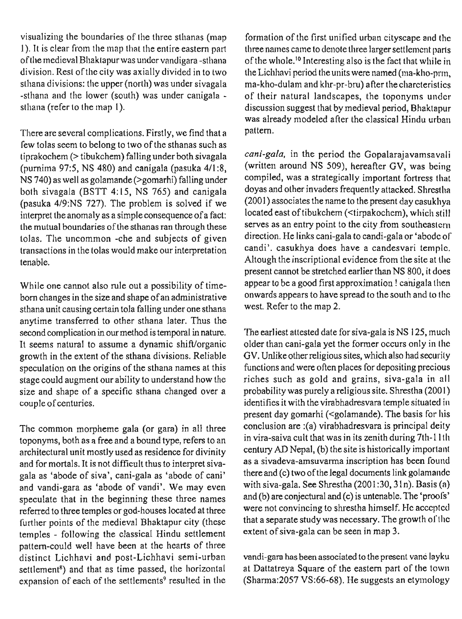visualizing the boundaries of the three sthanas (map 1). It is clear from the map that the entire eastern part of the medieval Bliaktapur was under vandigara -stliana division. Rest of the city was axially divided in to two stliana divisions: tlie upper (north) was under sivagala -stliana and the lower (south) was under canigala stliana (refer to the map 1).

There are several complications. Firstly, we find that a few tolas seem to belong to two of the sthanas such as tiprakochem (> tibukchem) falling under both sivagala (purnima 97:5, NS 480) and canigala (pasuka  $4/1:8$ , NS 740) as well as golamande (>gomarhi) falling under both sivagala (BSTT 4:15, NS 765) and canigala (pasuka 419:NS 727). The problem is solved if we interpret the anomaly as a simple consequence of a fact: the mutual boundaries of the sthanas ran through these tolas. The uncommon -che and subjects of given transactions in the tolas would make our interpretation tenable.

While one cannot also rule out a possibility of timeborn changes in the size and shape of an administrative sthana unit causing certain tola falling under one sthana anytime transferred to other sthana later. Thus the second complication in our method is temporal in nature. It seems natural to assume a dynamic shift/organic growth in the extent of the sthana divisions. Reliable speculation on the origins of the sthana names at this stage could augment our ability to understand how the size and shape of a specific sthana changed over a couple of centuries.

The common morpheme gala (or gara) in all three toponyms, both as a free and a bound type, refers to an architectural unit mostly used as residence for divinity and for mortals. It is not difficult thus to interpret sivagala as 'abode of siva', cani-gala as 'abode of cani' and vandi-gara as 'abode of vandi'. We may even speculate that in the beginning these three names referred to three temples or god-houses located at three further points of the medieval Bhaktapur city (these temples - following the classical Hindu settlement pattern-could well have been at the hearts of three distinct Lichhavi and post-Lichhavi semi-urban settlement<sup>8</sup>) and that as time passed, the horizontal expansion of each of the settlements<sup>9</sup> resulted in the

formation of the first unified urban cityscape and the three names came to denote three larger settlement parts of the whole.<sup>10</sup> Interesting also is the fact that while in the Lichhavi period the units were named ( $ma$ -kho-pr $m$ , ma-kho-dulam and khr-pr-bru) after the cliarcteristics of their natural landscapes, the toponyms undcr discussion suggest that by medieval period, Bhaktapur was already modeled after the classical Hindu urban pattern.

cani-gala, in the period the Gopalarajavamsavali (written around NS 509), hereafter GV, was being compiled, was a strategically important fortress that doyas and other invaders frequently attacked. Shrestlia (2001) associates the name to the present day casukliya located east of tibukchem (<tirpakochem), which still serves as an entry point to the city from southeastern direction. He links cani-gala to candi-gala or 'abodc of candi'. casukhya does have a candesvari temple. Altough the inscriptional evidence from the site at tlic present cannot be stretched earlier than NS 800, it does appear to be a good first approximation ! canigala then onwards appears to have spread to the south and to tlic west. Refer to the map 2.

The earliest attested date for siva-gala is NS 125, much older than cani-gala yet the former occurs only in the GV. Unlike other religious sites, which also had security functions and were often places for depositing precious riches such as gold and grains, siva-gala in all probability was purely a religious site. Shrestha (2001) identifies it with the virabhadresvara temple situated in present day gomarhi (<golamande). The basis for his conclusion are :(a) virabhadresvara is principal deity in vira-saiva cult that was in its zenith during 7th-11th century AD Nepal, (b) the site is historically important as a sivadeva-amsuvarma inscription has been found there and (c) two of the legal documents link golamande with siva-gala. See Shrestha (2001:30, 31n). Basis (a) and (b) are conjectural and (c) is untenable. The 'proofs' were not convincing to shrestha himself. Hc acccptcd that a separate study was necessary. The growth of the extent of siva-gala can be seen in map 3.

vandi-gara has been associated to the present vane layku at Dattatreya Square of the eastern part of the town (Sharma:2057 VS:66-68). He suggests an etymology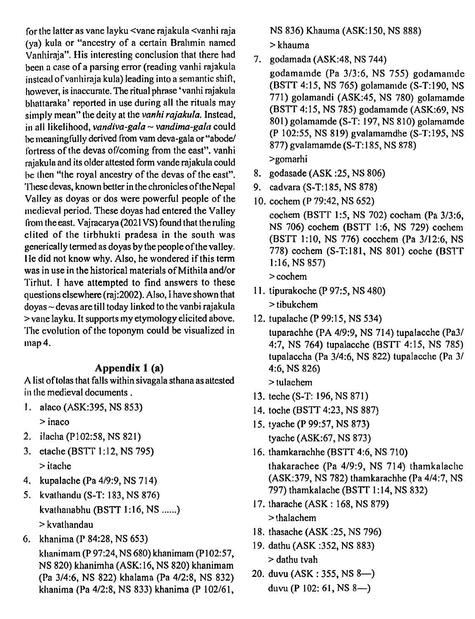for the latter as vane layku <vane rajakula <vanhi raja (ya) kula or "ancestry of a certain Brahmin named Vanhiraja". His interesting conclusion that there had been a case of a parsing error (reading vanhi rajakula instcad of vanhiraja kula) leading into a semantic shift, however, is inaccurate. The ritual phrase 'vanhi rajakula bliattaraka' reported in use during all the rituals may simply mean" the deity at the vanhi rajakula. Instead, in all likelihood, vandiva-gala  $\sim$  vandima-gala could be meaningfully derived from vam deva-gala or "abode/ fortress of the devas of/coming from the east". vanhi rajakula and its olderattested form vande rajakula could be then "the royal ancestry of the devas of the east". These devas, known better in the chronicles of the Nepal Valley as doyas or dos were powerful people of the medieval period. These doyas had entered the Valley from the east. Vajracarya (202 1 VS) found that the ruling clited of the tirbhukti pradesa in the south was generically termed as doyas by the people of the valley. IIe did not know why. Also, he wondered if this term was in use in the historical materials of Mithila and/or 'I'irhut. I have attempted to find answers to these questions elsewhere (raj:2002). Also, I have shown that  $d$ oyas ~ devas are till today linked to the vanbi rajakula > vane layku. It supports my etymology elicited above. The evolution of the toponym could be visualized in map 4.

#### **Appendix 1** (a)

A list oftolas that falls within sivagala sthana as attested in the medieval documents .

- I. alaco (ASK:395, NS 853) > inaco
- 2. ilacha (P102:58, NS 821)
- 3. etache (BSTT 1:12, NS 795) > itache
- 4. kupalaclie (Pa 419:9, NS 7 14)
- 5. kvathandu (S-T: 183, NS 876) kvathanabhu (BSTT 1:16, NS ......) > kvathandau
- 6. khanima (P 84:28, NS 653)

klianimam (P 97:24, NS 680) khanimam (P102:57, NS 820) khanimha (ASK: 16, NS 820) khanimam (Pa 3/4:6, NS 822) klialama (Pa 4/2:8, NS 832) khanima (Pa 4/2:8, NS 833) khanima (P 102/61, NS 836) Khauma (ASK: 150, NS 888)

> khauma

- 7. godamada (ASK:48, NS 744) godamamde (Pa 313:6, NS 755) godamamde (BSTT 4: 15, NS 765) golamanide (S-T: 190, NS 771) golamandi (ASK:45, NS 780) golamamde (BSTT 4: 15, NS 785) godamamde (ASK:69, NS 80 1) golamamde (S-T: 197, NS 8 10) golamamde (P 10255, NS 819) gvalamamdhe (S-T:195, NS 877) gvalamamde (S-T: 185, NS 878) >gomarhi
- 8. godasade (ASK :25, NS 806)
- 9. cadvara (S-T: 185, NS 878)
- 10. cochem (P 79:42, NS 652) cochem (BSTT 1:5, NS 702) cocham (Pa 3/3:6, NS 706) cochem (BSTT 1:6, NS 729) cochem (BS'IT 1:10, NS 776) cocchem (Pa 3112:6, NS 778) cochem (S-T:181, NS 801) coche (BSIT 1:16, NS 857)

> cochem

- 11. tipurakoche (P 97:5, NS 480) > tibukchem
- 12. tupalache (P 99:15, NS 534)

tuparachhe (PA 4/9:9, NS 714) tupalacche (Pa31 4:7, NS 764) tupalacche (BSTT 4:15, NS 785) tupalaccha (Pa 3/4:6, NS 822) tupalacche (Pa 3/ 4:6, NS 826)

> tulachem

- 13. teche (S-T: 196, NS 871)
- 14. toclie (BSTT 4:23, NS 887)
- 15. tyache (P 99:57, NS 873) tyache (ASK:67, NS 873)
- 16. thamkarachhe (BSTT 4:6, NS 710) thakarachee (Pa 419:9, NS 714) thamkalache (ASK:379, NS 782) thamkarachhe (Pa 4/4:7, NS 797) thamkalache (BSTT 1:14, NS 832)
- 17. tharache (ASK : 168, NS 879) > thalachem
- 18. thasache (ASK :25, NS 796)
- 19. dathu (ASK :352, NS 883) > dathu tvah
- 20. duvu (ASK : 355, NS 8-) duvu (P 102: 61, NS 8-)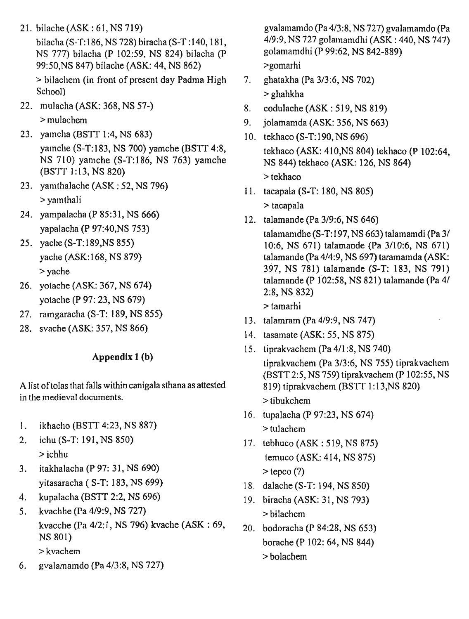21. bilache(ASK: 61,NS719)

bilacha (S-T: 186, NS 728) biracha (S-T: 140, 181, NS 777) bilacha (P 102:59, NS 824) bilacha (P 99:50,NS 847) bilache (ASK: 44, NS 862) > bilachem (in front of present day Padma High

School)

- 22. mulacha (ASK: 368, NS 57-) > mulachem
- 23. vamcha (BSTT 1:4, NS 683) yamclie (S-T:183, NS 700) yamche (BSTT 4:8, NS 710) yamche (S-T: 186, NS 763) yamche (BSTT 1:13, NS 820)
- 23. yamthalache (ASK : 52, NS 796) > yamthali
- 24. yampalacha (P 85:31, NS 666) yapalacha (P 97:40,NS 753)
- 25. yache (S-T: 189,NS 855) yache (ASK: 168, NS 879) > yache
- 26. yotache (ASK: 367, NS 674) yotache (P 97: 23, NS 679)
- 27. ramgaracha (S-T: 189, NS 855)
- 28, svache (ASK: 357, NS 866)

## **Appendix 1 (b)**

A list of tolas that falls withincanigala sthana as attested in the medieval documents.

- 1. ikhacho (BSTT 4:23, NS 887)
- 2. ichu (S-T: 191, NS 850) > ichhu
- 3. itakhalacha (P 97: 31, NS 690) yitasaracha ( S-T: 183, NS 699)
- 4. kupalacha (BSIT 2:2, NS 696)
- 5. kvachhe (Pa 4/9:9, NS 727) kvacche (Pa 4/2:1, NS 796) kvache (ASK : 69, NS 801) > kvachem
- 6. gvalamamdo (Pa 4/3:8, NS 727)

gvalamamdo (Pa 4/3:8, NS 727) gvalamamdo (Pa 4/9:9, NS 727 golamamdhi (ASK : 440, NS 747) golamamdhi (P 99:62, NS 842-889) >gomarhi

- $7.$ ghatakha (Pa 3/3:6, NS 702) > ghahkha
- codulache (ASK : 519, NS 819) 8.
- jolamamda (ASK: 356, NS 663) 9.
- 10. tekhaco (S-T: 190, NS 696) tekhaco (ASK: 410,NS 804) tekhaco (P 102:64, NS 844) tekhaco (ASK: 126, NS 864) > tekhaco
- tacapala (S-T: 180, NS 805)

> tacapala

12. talamande (Pa 3/9:6, NS 646)

talamamdhe (S-T:197, NS 663) talamamdi (Pa 3/ 10:6, NS 671) talamande (Pa 3/10:6, NS 671) talamande (Pa 4/4:9, NS 697) taramamda (ASK: 397, NS 781) talamande (S-T: 183, NS 791) talamande (P 102:58, NS 821) talamande (Pa 41 2:8, NS 832)

> tamarhi

- 13. talamram (Pa 4/9:9, NS 747)
- 14. tasamate (ASK: 55, NS 875)
- 15. tiprakvachem (Pa 4/1:8, NS 740) tiprakvachem (Pa 3/3:6, NS 755) tiprakvachem (BSTT 25, NS 759) tiprakvachem (P 102:55, NS 819) tiprakvachem (BSTT 1:13, NS 820) > tibukchem
- tupalacha (P 97:23, NS 674)  $>$  tulachem
- 17. tebhuco (ASK : 519, NS 875) temuco (ASK: 414, NS 875)  $>$  tepco  $(?)$
- dalache (S-T: 194, NS 850)
- 19. biracha (ASK: 31, NS 793) > bilachem
- bodoracha (P 84:28, NS 653) borache (P 102: 64, NS 844) > bolachem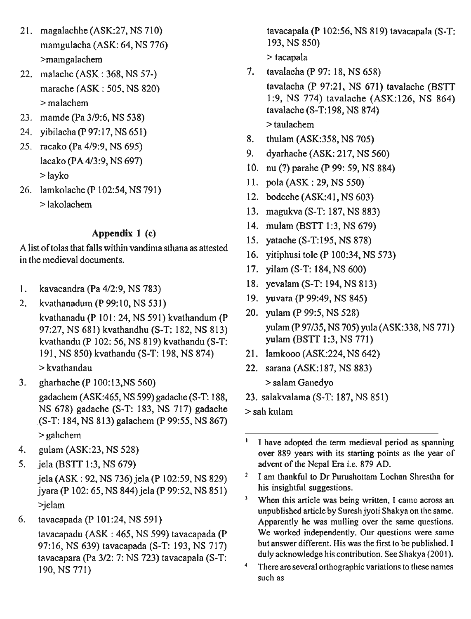- 21. magalachhe (ASK: 27, NS 710) mamgulacha (ASK: 64, NS 776) >maingalachem
- 22. malache (ASK : 368, NS 57-) marache (ASK : 505. NS 820) > malachem
- mamde (Pa 3/9:6, NS 538)
- 24. yibilacha (P 97:17, NS 651)
- 25. racako (Pa 4/9:9, NS 695) lacako (PA 4/3:9, NS 697) > layko
- 26. lamkolache (P 102:54, NS 791) > lakolachem

## **Appendix 1 (c)**

A list of tolas that falls within vandima sthana as attested in the medieval documents.

- **1.** kavacandra (Pa 4/2:9, NS 783)
- 2. **kvathanadutn(P99:10,NS531)**  kvathanadu (P 101: 24, NS 591) kvathandum (P 97:27, NS 681) kvathandhu (S-T: 182, NS 813) kvathandu (P 102: 56, NS 819) kvathandu (S-T: 19 1, NS 850) kvathandu (S-T: 198, NS 874) > kvathandau
- 3. gharhache (P 100: 13,NS 560) gadachem (ASK:465, NS 599) gadache (S-T: 188, NS 678) gadache (S-T: 183, NS 717) gadache . (S-T: 184, NS 8 13) galachem (P 9955, NS 867) > gahchem
- 4. gulam (ASK:23, NS 528)
- 5. jela (BSTT 1:3, NS 679) jela (ASK : 92, NS 736) jela (P 10259, NS 829) jyara (P 102: 65, NS 844) jela (P 99:52, NS 851) >jelam
- 6. **tavacapada(P101:24,NS591)**

tavacapadu (ASK : 465, NS 599) tavacapada (P 97:16, NS 639) tavacapada (S-T: 193, NS 717) lavacapara (Pa 312: 7: NS 723) tavacapala (S-T: 190, NS 771)

tavacapala (P 102:56, NS 819) tavacapala (S-T: 193, NS 850)

> tacapala

- 7. tavalacha (P 97: 18, NS 658)
	- tavalacha (P 97:21, NS 671) tavalache (BS'IT 1:9, NS 774) tavalache (ASK:126, NS 86 tavalache (S-T: 198, NS 874) > taulachem
- 8. thulam (ASK:358, NS 705)
- 9. dyarhache (ASK: 217, NS 560)
- 10. nu (?) parahe (P 99: 59, NS 884)
- 11. pola (ASK : 29, NS 550)
- 12. bodeche (ASK:41, NS 603)
- 13. magukva (S-T: 187, NS 883)
- 14. mulam (BSTT 1:3, NS 679)
- 15. yatache (S-T: 195, NS 878)
- 16. yitiphusi tole (P 100:34, NS 573)
- 17. yilam (S-T: 184, NS 600)
- 18. yevalam (S-T: 194, NS 813)
- 19. yuvara (P 99:49, NS 845)
- 20. yulam (P 99:5, NS 528) yulam (P 97/35, NS 705) yula (ASK:338, NS 771) yulam (BSTT 1:3, NS 771)
- 21. lamkooo (ASK:224, NS 642)
- 22. sarana (ASK: 187, NS 883) > salam Ganedyo
- 23. salakvalama (S-T: 187, NS 851)

> sah kulam

- ' **I have adopted the term medieval period as spanning over 889 years with its starting points as the year of advent of the Nepal Era i.e. 879 AD.**
- I am thankful to Dr Purushottam Lochan Shrestha for **his insightful suggestions.**
- $\mathbf{3}$ **When this article was being written, I came across an unpublished article by Suresh jyoti Shakya on the same. Apparently he was mulling over the same questions.**  We worked independently. Our questions were same **but answer different. His was the first to be published. I**  duly acknowledge his contribution. See Shakya (2001).
- $\boldsymbol{4}$ **There are several orthographic variations to these names such as**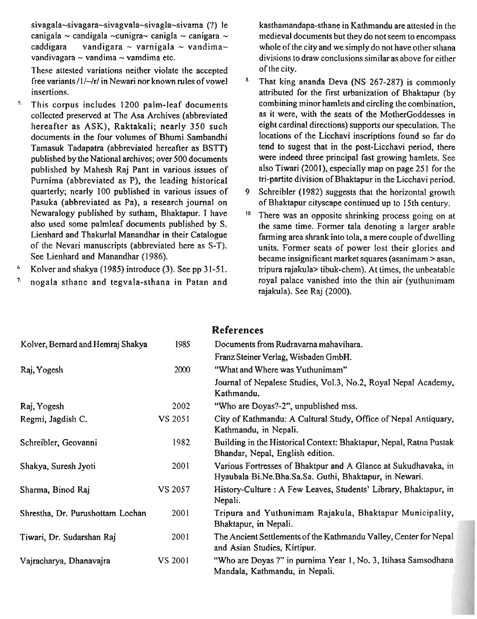**sivagala-sivagara-sivagvala-sivagla-sivama (I?)** le canigala ~ candigala ~cunigra~ canigla ~ canigara ~ caddigara - vandigara ~ varnigala ~ vandima~ vandigara  $\sim$  varnigala  $\sim$  vandima $\sim$ vandivagara  $\sim$  vandima  $\sim$  vamdima etc.

These attested variations neither violate the accepted free variants  $/1/\sim$ /r/ in Newari nor known rules of vowel insertions.

- **5.** This corpus includes 1200 palm-leaf documents collected preserved at The Asa Archives (abbreviated hereafter as ASK), Raktakali; nearly 350 such documents in the four volumes of Bhumi Sambandhi Tamasuk Tadapatra (abbreviated hereafter as BSTT) published by the National archives; over 500 documents published by Mahesh Raj Pant in various issues of Purnima (abbreviated as P), the leading historical quarterly; nearly 100 published in various issues of Pasuka (abbreviated as Pa), a research journal on Newaralogy published by sutham, Bhaktapur. I have also used some palmleaf documents published by S. Lienhard and Thakurlal Manandhar in their Catalogue of the Nevari manuscripts (abbreviated here as S-T). See Lienhard and Manandhar (1986).
- $\pmb{\circ}$ Kolver and shakya (1985) introduce (3). See pp 31-5 1.
- ', nogala sthane and tegvala-sthana in Patan and

kasthamandapa-sthane in Kathmandu are attested in the medieval documents but they do not seem to encompass whole of the city and we simply do not have other sthana divisions to draw conclusions similar as above for either of the city.

- 8 That king ananda Deva (NS 267-287) is commonly attributed for the first urbanization of Bhaktapur (by combining minor hamlets and circling the combination, as it were, with the seats of the MotlierGoddesses in eight cardinal directions) supports our speculation. The locations of the Licchavi inscriptions found so far do tend to sugest that in the post-Licchavi period, there were indeed three principal fast growing hamlets. See also Tiwari (2001), especially map on page 25 1 for the tri-partite division of Bhaktapur in the Licchavi period.
- **9** Schreibler (1982) suggests that the horizontal growth of Bhaktapur cityscape continued up to 15th century.
- $10$  There was an opposite shrinking process going on at the same time. Former tala denoting a larger arable farming area shrank into tola, a mere couple of dwelling units. Former seats of power lost their glories and became insignificant market squares (asanimam > asan, tripura rajakula> tibuk-chem). At times, the unbeatable royal palace vanished into the thin air (yuthunimam rajakula). See Raj (2000).

|                                   |         | <b>References</b>                                                                                                        |
|-----------------------------------|---------|--------------------------------------------------------------------------------------------------------------------------|
| Kolver, Bernard and Hemraj Shakya | 1985    | Documents from Rudravarna mahavihara.                                                                                    |
|                                   |         | Franz Steiner Verlag, Wisbaden GmbH.                                                                                     |
| Raj, Yogesh                       | 2000    | "What and Where was Yuthunimam"                                                                                          |
|                                   |         | Journal of Nepalese Studies, Vol.3, No.2, Royal Nepal Academy,<br>Kathmandu.                                             |
| Raj, Yogesh                       | 2002    | "Who are Doyas?-2", unpublished mss.                                                                                     |
| Regmi, Jagdish C.                 | VS 2051 | City of Kathmandu: A Cultural Study, Office of Nepal Antiquary,<br>Kathmandu, in Nepali.                                 |
| Schreibler, Geovanni              | 1982    | Building in the Historical Context: Bhaktapur, Nepal, Ratna Pustak<br>Bhandar, Nepal, English edition.                   |
| Shakya, Suresh Jyoti              | 2001    | Various Fortresses of Bhaktpur and A Glance at Sukudhavaka, in<br>Hyaubala Bi.Ne.Bha.Sa.Sa. Guthi, Bhaktapur, in Newari. |
| Sharma, Binod Raj                 | VS 2057 | History-Culture: A Few Leaves, Students' Library, Bhaktapur, in<br>Nepali.                                               |
| Shrestha, Dr. Purushottam Lochan  | 2001    | Tripura and Yuthunimam Rajakula, Bhaktapur Municipality,<br>Bhaktapur, in Nepali.                                        |
| Tiwari, Dr. Sudarshan Raj         | 2001    | The Ancient Settlements of the Kathmandu Valley, Center for Nepal<br>and Asian Studies, Kirtipur.                        |
| Vajracharya, Dhanavajra           | VS 2001 | "Who are Doyas ?" in purnima Year 1, No. 3, Itihasa Samsodhana<br>Mandala, Kathmandu, in Nepali.                         |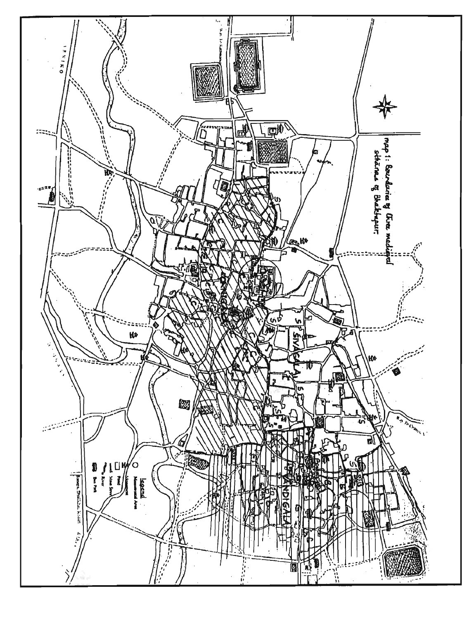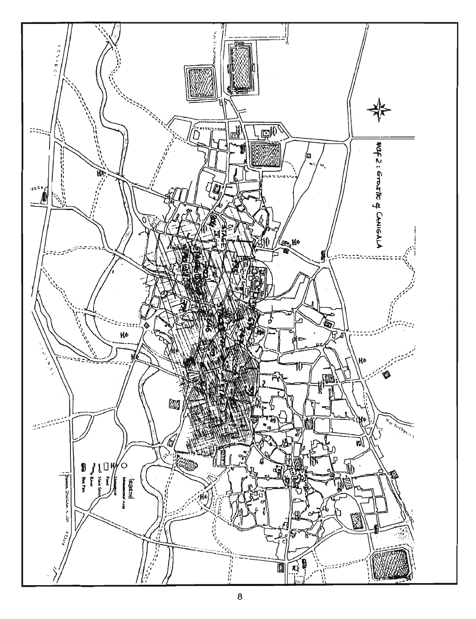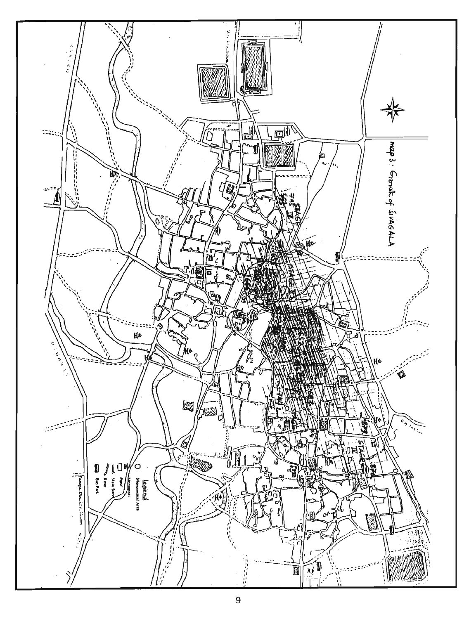